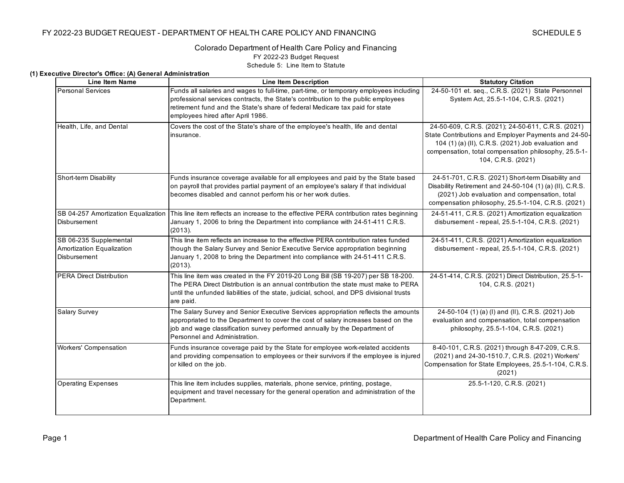#### Colorado Department of Health Care Policy and Financing FY 2022-23 Budget Request Schedule 5: Line Item to Statute

#### **(1) Executive Director's Office: (A) General Administration**

| <b>Line Item Name</b>                                                      | <b>Line Item Description</b>                                                                                                                                                                                                                                                                     | <b>Statutory Citation</b>                                                                                                                                                                                                                      |
|----------------------------------------------------------------------------|--------------------------------------------------------------------------------------------------------------------------------------------------------------------------------------------------------------------------------------------------------------------------------------------------|------------------------------------------------------------------------------------------------------------------------------------------------------------------------------------------------------------------------------------------------|
| <b>Personal Services</b>                                                   | Funds all salaries and wages to full-time, part-time, or temporary employees including<br>professional services contracts, the State's contribution to the public employees<br>retirement fund and the State's share of federal Medicare tax paid for state<br>employees hired after April 1986. | 24-50-101 et. seq., C.R.S. (2021) State Personnel<br>System Act, 25.5-1-104, C.R.S. (2021)                                                                                                                                                     |
| Health, Life, and Dental                                                   | Covers the cost of the State's share of the employee's health, life and dental<br>insurance.                                                                                                                                                                                                     | 24-50-609, C.R.S. (2021); 24-50-611, C.R.S. (2021)<br>State Contributions and Employer Payments and 24-50-<br>104 (1) (a) (II), C.R.S. (2021) Job evaluation and<br>compensation, total compensation philosophy, 25.5-1-<br>104, C.R.S. (2021) |
| Short-term Disability                                                      | Funds insurance coverage available for all employees and paid by the State based<br>on payroll that provides partial payment of an employee's salary if that individual<br>becomes disabled and cannot perform his or her work duties.                                                           | 24-51-701, C.R.S. (2021) Short-term Disability and<br>Disability Retirement and 24-50-104 (1) (a) (II), C.R.S.<br>(2021) Job evaluation and compensation, total<br>compensation philosophy, 25.5-1-104, C.R.S. (2021)                          |
| <b>Disbursement</b>                                                        | SB 04-257 Amortization Equalization This line item reflects an increase to the effective PERA contribution rates beginning<br>January 1, 2006 to bring the Department into compliance with 24-51-411 C.R.S.<br>(2013).                                                                           | 24-51-411, C.R.S. (2021) Amortization equalization<br>disbursement - repeal, 25.5-1-104, C.R.S. (2021)                                                                                                                                         |
| SB 06-235 Supplemental<br>Amortization Equalization<br><b>Disbursement</b> | This line item reflects an increase to the effective PERA contribution rates funded<br>though the Salary Survey and Senior Executive Service appropriation beginning<br>January 1, 2008 to bring the Department into compliance with 24-51-411 C.R.S.<br>(2013).                                 | 24-51-411, C.R.S. (2021) Amortization equalization<br>disbursement - repeal, 25.5-1-104, C.R.S. (2021)                                                                                                                                         |
| <b>PERA Direct Distribution</b>                                            | This line item was created in the FY 2019-20 Long Bill (SB 19-207) per SB 18-200.<br>The PERA Direct Distribution is an annual contribution the state must make to PERA<br>until the unfunded liabilities of the state, judicial, school, and DPS divisional trusts<br>are paid.                 | 24-51-414, C.R.S. (2021) Direct Distribution, 25.5-1-<br>104, C.R.S. (2021)                                                                                                                                                                    |
| Salary Survey                                                              | The Salary Survey and Senior Executive Services appropriation reflects the amounts<br>appropriated to the Department to cover the cost of salary increases based on the<br>job and wage classification survey performed annually by the Department of<br>Personnel and Administration.           | 24-50-104 (1) (a) (l) and (ll), C.R.S. (2021) Job<br>evaluation and compensation, total compensation<br>philosophy, 25.5-1-104, C.R.S. (2021)                                                                                                  |
| <b>Workers' Compensation</b>                                               | Funds insurance coverage paid by the State for employee work-related accidents<br>and providing compensation to employees or their survivors if the employee is injured<br>or killed on the job.                                                                                                 | 8-40-101, C.R.S. (2021) through 8-47-209, C.R.S.<br>(2021) and 24-30-1510.7, C.R.S. (2021) Workers'<br>Compensation for State Employees, 25.5-1-104, C.R.S.<br>(2021)                                                                          |
| <b>Operating Expenses</b>                                                  | This line item includes supplies, materials, phone service, printing, postage,<br>equipment and travel necessary for the general operation and administration of the<br>Department.                                                                                                              | 25.5-1-120, C.R.S. (2021)                                                                                                                                                                                                                      |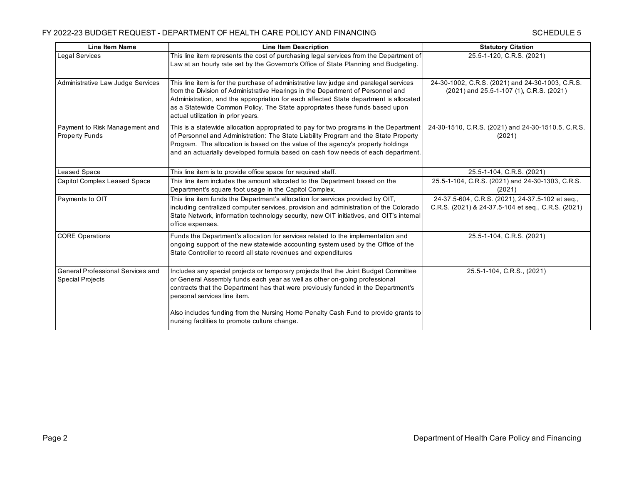| <b>Line Item Name</b>                                               | <b>Line Item Description</b>                                                                                                                                                                                                                                                                                                                                                           | <b>Statutory Citation</b>                                                                              |
|---------------------------------------------------------------------|----------------------------------------------------------------------------------------------------------------------------------------------------------------------------------------------------------------------------------------------------------------------------------------------------------------------------------------------------------------------------------------|--------------------------------------------------------------------------------------------------------|
| Legal Services                                                      | This line item represents the cost of purchasing legal services from the Department of<br>Law at an hourly rate set by the Governor's Office of State Planning and Budgeting.                                                                                                                                                                                                          | 25.5-1-120, C.R.S. (2021)                                                                              |
| Administrative Law Judge Services                                   | This line item is for the purchase of administrative law judge and paralegal services<br>from the Division of Administrative Hearings in the Department of Personnel and<br>Administration, and the appropriation for each affected State department is allocated<br>as a Statewide Common Policy. The State appropriates these funds based upon<br>actual utilization in prior years. | 24-30-1002, C.R.S. (2021) and 24-30-1003, C.R.S.<br>(2021) and 25.5-1-107 (1), C.R.S. (2021)           |
| Payment to Risk Management and<br><b>Property Funds</b>             | This is a statewide allocation appropriated to pay for two programs in the Department<br>of Personnel and Administration: The State Liability Program and the State Property<br>Program. The allocation is based on the value of the agency's property holdings<br>and an actuarially developed formula based on cash flow needs of each department.                                   | 24-30-1510, C.R.S. (2021) and 24-30-1510.5, C.R.S.<br>(2021)                                           |
| <b>Leased Space</b>                                                 | This line item is to provide office space for required staff.                                                                                                                                                                                                                                                                                                                          | 25.5-1-104, C.R.S. (2021)                                                                              |
| Capitol Complex Leased Space                                        | This line item includes the amount allocated to the Department based on the<br>Department's square foot usage in the Capitol Complex.                                                                                                                                                                                                                                                  | 25.5-1-104, C.R.S. (2021) and 24-30-1303, C.R.S.<br>(2021)                                             |
| Payments to OIT                                                     | This line item funds the Department's allocation for services provided by OIT,<br>including centralized computer services, provision and administration of the Colorado<br>State Network, information technology security, new OIT initiatives, and OIT's internal<br>office expenses.                                                                                                 | 24-37.5-604, C.R.S. (2021), 24-37.5-102 et seq.,<br>C.R.S. (2021) & 24-37.5-104 et seq., C.R.S. (2021) |
| <b>CORE Operations</b>                                              | Funds the Department's allocation for services related to the implementation and<br>ongoing support of the new statewide accounting system used by the Office of the<br>State Controller to record all state revenues and expenditures                                                                                                                                                 | 25.5-1-104, C.R.S. (2021)                                                                              |
| <b>General Professional Services and</b><br><b>Special Projects</b> | Includes any special projects or temporary projects that the Joint Budget Committee<br>or General Assembly funds each year as well as other on-going professional<br>contracts that the Department has that were previously funded in the Department's<br>personal services line item.                                                                                                 | 25.5-1-104, C.R.S., (2021)                                                                             |
|                                                                     | Also includes funding from the Nursing Home Penalty Cash Fund to provide grants to<br>nursing facilities to promote culture change.                                                                                                                                                                                                                                                    |                                                                                                        |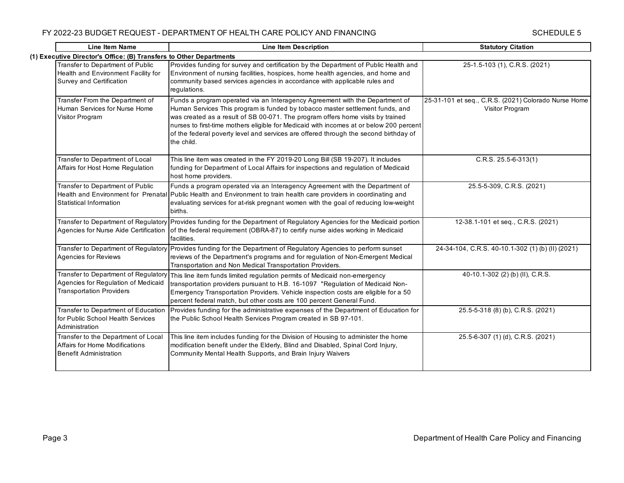| <b>Line Item Name</b>                                                                                          | <b>Line Item Description</b>                                                                                                                                                                                                                                                                                                                                                                                                                      | <b>Statutory Citation</b>                                               |  |  |
|----------------------------------------------------------------------------------------------------------------|---------------------------------------------------------------------------------------------------------------------------------------------------------------------------------------------------------------------------------------------------------------------------------------------------------------------------------------------------------------------------------------------------------------------------------------------------|-------------------------------------------------------------------------|--|--|
|                                                                                                                | (1) Executive Director's Office: (B) Transfers to Other Departments                                                                                                                                                                                                                                                                                                                                                                               |                                                                         |  |  |
| Transfer to Department of Public<br>Health and Environment Facility for<br>Survey and Certification            | Provides funding for survey and certification by the Department of Public Health and<br>Environment of nursing facilities, hospices, home health agencies, and home and<br>community based services agencies in accordance with applicable rules and<br>regulations.                                                                                                                                                                              | 25-1.5-103 (1), C.R.S. (2021)                                           |  |  |
| Transfer From the Department of<br>Human Services for Nurse Home<br>Visitor Program                            | Funds a program operated via an Interagency Agreement with the Department of<br>Human Services This program is funded by tobacco master settlement funds, and<br>was created as a result of SB 00-071. The program offers home visits by trained<br>nurses to first-time mothers eligible for Medicaid with incomes at or below 200 percent<br>of the federal poverty level and services are offered through the second birthday of<br>the child. | 25-31-101 et seq., C.R.S. (2021) Colorado Nurse Home<br>Visitor Program |  |  |
| Transfer to Department of Local<br>Affairs for Host Home Regulation                                            | This line item was created in the FY 2019-20 Long Bill (SB 19-207). It includes<br>funding for Department of Local Affairs for inspections and regulation of Medicaid<br>host home providers.                                                                                                                                                                                                                                                     | $C.R.S. 25.5-6-313(1)$                                                  |  |  |
| Transfer to Department of Public<br>Statistical Information                                                    | Funds a program operated via an Interagency Agreement with the Department of<br>Health and Environment for Prenatal Public Health and Environment to train health care providers in coordinating and<br>evaluating services for at-risk pregnant women with the goal of reducing low-weight<br>births.                                                                                                                                            | 25.5-5-309, C.R.S. (2021)                                               |  |  |
|                                                                                                                | Transfer to Department of Regulatory Provides funding for the Department of Regulatory Agencies for the Medicaid portion<br>Agencies for Nurse Aide Certification of the federal requirement (OBRA-87) to certify nurse aides working in Medicaid<br>facilities.                                                                                                                                                                                  | 12-38.1-101 et seq., C.R.S. (2021)                                      |  |  |
| Transfer to Department of Regulatory<br>Agencies for Reviews                                                   | Provides funding for the Department of Regulatory Agencies to perform sunset<br>reviews of the Department's programs and for regulation of Non-Emergent Medical<br>Transportation and Non Medical Transportation Providers.                                                                                                                                                                                                                       | 24-34-104, C.R.S. 40-10.1-302 (1) (b) (II) (2021)                       |  |  |
| Transfer to Department of Regulatory<br>Agencies for Regulation of Medicaid<br><b>Transportation Providers</b> | This line item funds limited regulation permits of Medicaid non-emergency<br>transportation providers pursuant to H.B. 16-1097 "Regulation of Medicaid Non-<br>Emergency Transportation Providers. Vehicle inspection costs are eligible for a 50<br>percent federal match, but other costs are 100 percent General Fund.                                                                                                                         | 40-10.1-302 (2) (b) (II), C.R.S.                                        |  |  |
| Transfer to Department of Education<br>for Public School Health Services<br>Administration                     | Provides funding for the administrative expenses of the Department of Education for<br>the Public School Health Services Program created in SB 97-101.                                                                                                                                                                                                                                                                                            | 25.5-5-318 (8) (b), C.R.S. (2021)                                       |  |  |
| Transfer to the Department of Local<br><b>Affairs for Home Modifications</b><br><b>Benefit Administration</b>  | This line item includes funding for the Division of Housing to administer the home<br>modification benefit under the Elderly, Blind and Disabled, Spinal Cord Injury,<br>Community Mental Health Supports, and Brain Injury Waivers                                                                                                                                                                                                               | 25.5-6-307 (1) (d), C.R.S. (2021)                                       |  |  |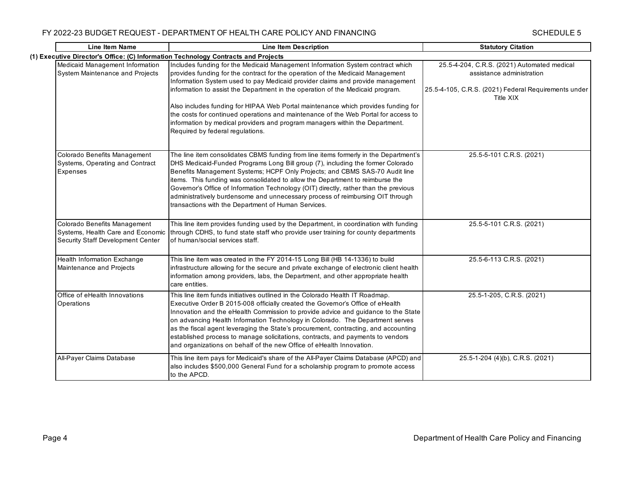| <b>Line Item Name</b>                                                                                  | <b>Line Item Description</b>                                                                                                                                                                                                                                                                                                                                                                                                                                                                                                                                                                                                        | <b>Statutory Citation</b>                                                                                                                     |
|--------------------------------------------------------------------------------------------------------|-------------------------------------------------------------------------------------------------------------------------------------------------------------------------------------------------------------------------------------------------------------------------------------------------------------------------------------------------------------------------------------------------------------------------------------------------------------------------------------------------------------------------------------------------------------------------------------------------------------------------------------|-----------------------------------------------------------------------------------------------------------------------------------------------|
|                                                                                                        | (1) Executive Director's Office: (C) Information Technology Contracts and Projects                                                                                                                                                                                                                                                                                                                                                                                                                                                                                                                                                  |                                                                                                                                               |
| Medicaid Management Information<br>System Maintenance and Projects                                     | Includes funding for the Medicaid Management Information System contract which<br>provides funding for the contract for the operation of the Medicaid Management<br>Information System used to pay Medicaid provider claims and provide management<br>information to assist the Department in the operation of the Medicaid program.<br>Also includes funding for HIPAA Web Portal maintenance which provides funding for<br>the costs for continued operations and maintenance of the Web Portal for access to<br>information by medical providers and program managers within the Department.<br>Required by federal regulations. | 25.5-4-204, C.R.S. (2021) Automated medical<br>assistance administration<br>25.5-4-105, C.R.S. (2021) Federal Requirements under<br>Title XIX |
| Colorado Benefits Management<br>Systems, Operating and Contract<br>Expenses                            | The line item consolidates CBMS funding from line items formerly in the Department's<br>DHS Medicaid-Funded Programs Long Bill group (7), including the former Colorado<br>Benefits Management Systems; HCPF Only Projects; and CBMS SAS-70 Audit line<br>items. This funding was consolidated to allow the Department to reimburse the<br>Governor's Office of Information Technology (OIT) directly, rather than the previous<br>administratively burdensome and unnecessary process of reimbursing OIT through<br>transactions with the Department of Human Services.                                                            | 25.5-5-101 C.R.S. (2021)                                                                                                                      |
| Colorado Benefits Management<br>Systems, Health Care and Economic<br>Security Staff Development Center | This line item provides funding used by the Department, in coordination with funding<br>through CDHS, to fund state staff who provide user training for county departments<br>of human/social services staff.                                                                                                                                                                                                                                                                                                                                                                                                                       | 25.5-5-101 C.R.S. (2021)                                                                                                                      |
| Health Information Exchange<br>Maintenance and Projects                                                | This line item was created in the FY 2014-15 Long Bill (HB 14-1336) to build<br>infrastructure allowing for the secure and private exchange of electronic client health<br>information among providers, labs, the Department, and other appropriate health<br>care entities.                                                                                                                                                                                                                                                                                                                                                        | 25.5-6-113 C.R.S. (2021)                                                                                                                      |
| Office of eHealth Innovations<br>Operations                                                            | This line item funds initiatives outlined in the Colorado Health IT Roadmap.<br>Executive Order B 2015-008 officially created the Governor's Office of eHealth<br>Innovation and the eHealth Commission to provide advice and guidance to the State<br>on advancing Health Information Technology in Colorado. The Department serves<br>as the fiscal agent leveraging the State's procurement, contracting, and accounting<br>established process to manage solicitations, contracts, and payments to vendors<br>and organizations on behalf of the new Office of eHealth Innovation.                                              | 25.5-1-205, C.R.S. (2021)                                                                                                                     |
| All-Payer Claims Database                                                                              | This line item pays for Medicaid's share of the All-Payer Claims Database (APCD) and<br>also includes \$500,000 General Fund for a scholarship program to promote access<br>to the APCD.                                                                                                                                                                                                                                                                                                                                                                                                                                            | 25.5-1-204 (4)(b), C.R.S. (2021)                                                                                                              |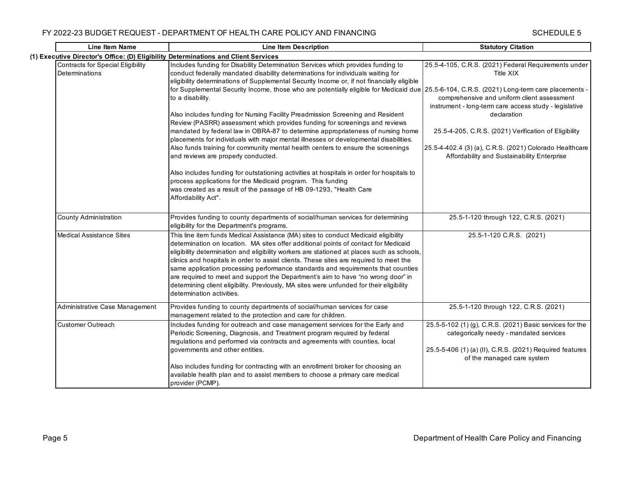| <b>Line Item Name</b>                                      | <b>Line Item Description</b>                                                                                                                                                                                                                                                                                                                                                                                                                                                                                                                                                                                                                                       | <b>Statutory Citation</b>                                                                                                                                                                     |
|------------------------------------------------------------|--------------------------------------------------------------------------------------------------------------------------------------------------------------------------------------------------------------------------------------------------------------------------------------------------------------------------------------------------------------------------------------------------------------------------------------------------------------------------------------------------------------------------------------------------------------------------------------------------------------------------------------------------------------------|-----------------------------------------------------------------------------------------------------------------------------------------------------------------------------------------------|
|                                                            | (1) Executive Director's Office: (D) Eligibility Determinations and Client Services                                                                                                                                                                                                                                                                                                                                                                                                                                                                                                                                                                                |                                                                                                                                                                                               |
| <b>Contracts for Special Eligibility</b><br>Determinations | Includes funding for Disability Determination Services which provides funding to<br>conduct federally mandated disability determinations for individuals waiting for<br>eligibility determinations of Supplemental Security Income or, if not financially eligible                                                                                                                                                                                                                                                                                                                                                                                                 | 25.5-4-105, C.R.S. (2021) Federal Requirements under<br>Title XIX                                                                                                                             |
|                                                            | for Supplemental Security Income, those who are potentially eligible for Medicaid due 25.5-6-104, C.R.S. (2021) Long-term care placements -<br>to a disability.                                                                                                                                                                                                                                                                                                                                                                                                                                                                                                    | comprehensive and uniform client assessment<br>instrument - long-term care access study - legislative                                                                                         |
|                                                            | Also includes funding for Nursing Facility Preadmission Screening and Resident<br>Review (PASRR) assessment which provides funding for screenings and reviews                                                                                                                                                                                                                                                                                                                                                                                                                                                                                                      | declaration                                                                                                                                                                                   |
|                                                            | mandated by federal law in OBRA-87 to determine appropriateness of nursing home<br>placements for individuals with major mental illnesses or developmental disabilities.                                                                                                                                                                                                                                                                                                                                                                                                                                                                                           | 25.5-4-205, C.R.S. (2021) Verification of Eligibility                                                                                                                                         |
|                                                            | Also funds training for community mental health centers to ensure the screenings<br>and reviews are properly conducted.                                                                                                                                                                                                                                                                                                                                                                                                                                                                                                                                            | 25.5-4-402.4 (3) (a), C.R.S. (2021) Colorado Healthcare<br>Affordability and Sustainability Enterprise                                                                                        |
|                                                            | Also includes funding for outstationing activities at hospitals in order for hospitals to<br>process applications for the Medicaid program. This funding<br>was created as a result of the passage of HB 09-1293, "Health Care<br>Affordability Act".                                                                                                                                                                                                                                                                                                                                                                                                              |                                                                                                                                                                                               |
| <b>County Administration</b>                               | Provides funding to county departments of social/human services for determining<br>eligibility for the Department's programs.                                                                                                                                                                                                                                                                                                                                                                                                                                                                                                                                      | 25.5-1-120 through 122, C.R.S. (2021)                                                                                                                                                         |
| <b>Medical Assistance Sites</b>                            | This line item funds Medical Assistance (MA) sites to conduct Medicaid eligibility<br>determination on location. MA sites offer additional points of contact for Medicaid<br>eligibility determination and eligibility workers are stationed at places such as schools,<br>clinics and hospitals in order to assist clients. These sites are required to meet the<br>same application processing performance standards and requirements that counties<br>are required to meet and support the Department's aim to have "no wrong door" in<br>determining client eligibility. Previously, MA sites were unfunded for their eligibility<br>determination activities. | 25.5-1-120 C.R.S. (2021)                                                                                                                                                                      |
| Administrative Case Management                             | Provides funding to county departments of social/human services for case<br>management related to the protection and care for children.                                                                                                                                                                                                                                                                                                                                                                                                                                                                                                                            | 25.5-1-120 through 122, C.R.S. (2021)                                                                                                                                                         |
| <b>Customer Outreach</b>                                   | Includes funding for outreach and case management services for the Early and<br>Periodic Screening, Diagnosis, and Treatment program required by federal<br>regulations and performed via contracts and agreements with counties, local<br>governments and other entities.                                                                                                                                                                                                                                                                                                                                                                                         | 25.5-5-102 (1) (g), C.R.S. (2021) Basic services for the<br>categorically needy - mandated services<br>25.5-5-406 (1) (a) (II), C.R.S. (2021) Required features<br>of the managed care system |
|                                                            | Also includes funding for contracting with an enrollment broker for choosing an<br>available health plan and to assist members to choose a primary care medical<br>provider (PCMP).                                                                                                                                                                                                                                                                                                                                                                                                                                                                                |                                                                                                                                                                                               |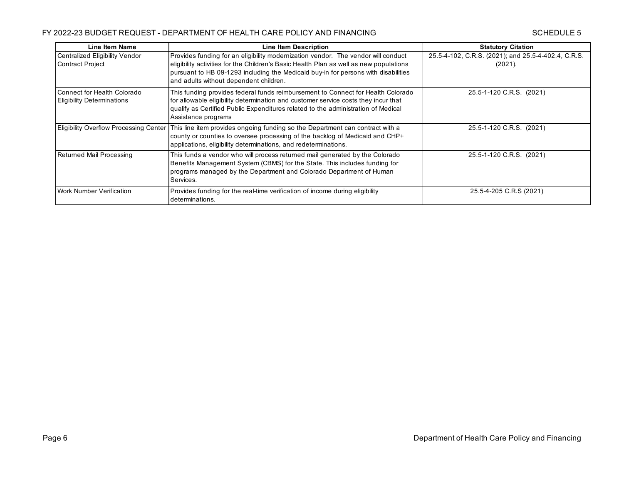| Line Item Name                                                   | <b>Line Item Description</b>                                                                                                                                                                                                                                                                                | <b>Statutory Citation</b>                                      |
|------------------------------------------------------------------|-------------------------------------------------------------------------------------------------------------------------------------------------------------------------------------------------------------------------------------------------------------------------------------------------------------|----------------------------------------------------------------|
| Centralized Eligibility Vendor<br><b>Contract Project</b>        | Provides funding for an eligibility modernization vendor. The vendor will conduct<br>eligibility activities for the Children's Basic Health Plan as well as new populations<br>pursuant to HB 09-1293 including the Medicaid buy-in for persons with disabilities<br>and adults without dependent children. | 25.5-4-102, C.R.S. (2021); and 25.5-4-402.4, C.R.S.<br>(2021). |
| Connect for Health Colorado<br><b>Eligibility Determinations</b> | This funding provides federal funds reimbursement to Connect for Health Colorado<br>for allowable eligibility determination and customer service costs they incur that<br>qualify as Certified Public Expenditures related to the administration of Medical<br>Assistance programs                          | 25.5-1-120 C.R.S. (2021)                                       |
|                                                                  | Eligibility Overflow Processing Center   This line item provides ongoing funding so the Department can contract with a<br>county or counties to oversee processing of the backlog of Medicaid and CHP+<br>applications, eligibility determinations, and redeterminations.                                   | 25.5-1-120 C.R.S. (2021)                                       |
| Returned Mail Processing                                         | This funds a vendor who will process returned mail generated by the Colorado<br>Benefits Management System (CBMS) for the State. This includes funding for<br>programs managed by the Department and Colorado Department of Human<br>Services.                                                              | 25.5-1-120 C.R.S. (2021)                                       |
| <b>Work Number Verification</b>                                  | Provides funding for the real-time verification of income during eligibility<br>determinations.                                                                                                                                                                                                             | 25.5-4-205 C.R.S (2021)                                        |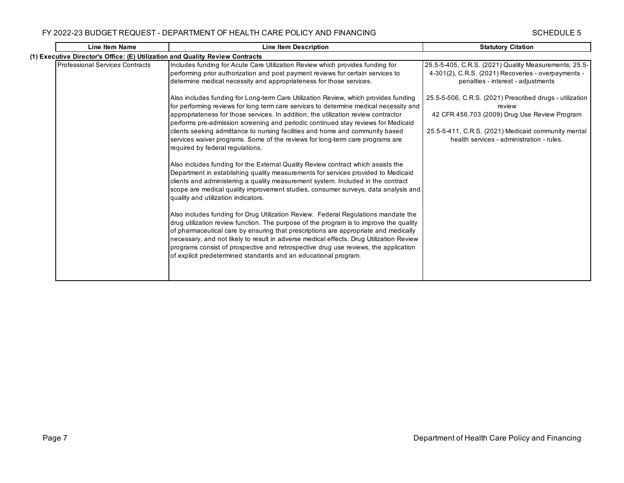| <b>Line Item Name</b>                                                         | <b>Line Item Description</b>                                                                                                                                                                                                                                                                                                                                                                                                                                                                                                                                                                                                                                                                                                                                                                                                                                                                                       | <b>Statutory Citation</b>                                                                                                                                                                                                                                                                                                                                                     |
|-------------------------------------------------------------------------------|--------------------------------------------------------------------------------------------------------------------------------------------------------------------------------------------------------------------------------------------------------------------------------------------------------------------------------------------------------------------------------------------------------------------------------------------------------------------------------------------------------------------------------------------------------------------------------------------------------------------------------------------------------------------------------------------------------------------------------------------------------------------------------------------------------------------------------------------------------------------------------------------------------------------|-------------------------------------------------------------------------------------------------------------------------------------------------------------------------------------------------------------------------------------------------------------------------------------------------------------------------------------------------------------------------------|
| (1) Executive Director's Office: (E) Utilization and Quality Review Contracts |                                                                                                                                                                                                                                                                                                                                                                                                                                                                                                                                                                                                                                                                                                                                                                                                                                                                                                                    |                                                                                                                                                                                                                                                                                                                                                                               |
| <b>Professional Services Contracts</b>                                        | Includes funding for Acute Care Utilization Review which provides funding for<br>performing prior authorization and post payment reviews for certain services to<br>determine medical necessity and appropriateness for those services.<br>Also includes funding for Long-term Care Utilization Review, which provides funding<br>for performing reviews for long term care services to determine medical necessity and<br>appropriateness for those services. In addition, the utilization review contractor<br>performs pre-admission screening and periodic continued stay reviews for Medicaid<br>clients seeking admittance to nursing facilities and home and community based<br>services waiver programs. Some of the reviews for long-term care programs are<br>required by federal requlations.                                                                                                           | 25.5-5-405, C.R.S. (2021) Quality Measurements; 25.5-<br>4-301(2), C.R.S. (2021) Recoveries - overpayments -<br>penalties - interest - adjustments<br>25.5-5-506, C.R.S. (2021) Prescribed drugs - utilization<br>review<br>42 CFR 456.703 (2009) Drug Use Review Program<br>25.5-5-411, C.R.S. (2021) Medicaid community mental<br>health services - administration - rules. |
|                                                                               | Also includes funding for the External Quality Review contract which assists the<br>Department in establishing quality measurements for services provided to Medicaid<br>clients and administering a quality measurement system. Included in the contract<br>scope are medical quality improvement studies, consumer surveys, data analysis and<br>quality and utilization indicators.<br>Also includes funding for Drug Utilization Review. Federal Regulations mandate the<br>drug utilization review function. The purpose of the program is to improve the quality<br>of pharmaceutical care by ensuring that prescriptions are appropriate and medically<br>necessary, and not likely to result in adverse medical effects. Drug Utilization Review<br>programs consist of prospective and retrospective drug use reviews, the application<br>of explicit predetermined standards and an educational program. |                                                                                                                                                                                                                                                                                                                                                                               |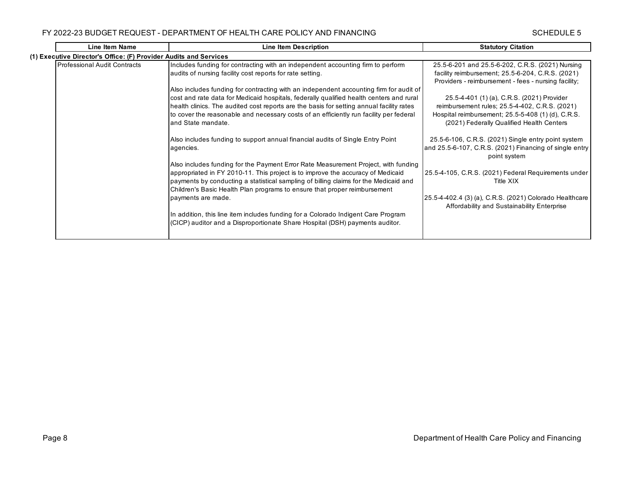| <b>Line Item Name</b>                                             | <b>Line Item Description</b>                                                                                                                                                                                                                                                                                                                                                                                                                                                                                                          | <b>Statutory Citation</b>                                                                                                                                                                                                                                     |  |  |
|-------------------------------------------------------------------|---------------------------------------------------------------------------------------------------------------------------------------------------------------------------------------------------------------------------------------------------------------------------------------------------------------------------------------------------------------------------------------------------------------------------------------------------------------------------------------------------------------------------------------|---------------------------------------------------------------------------------------------------------------------------------------------------------------------------------------------------------------------------------------------------------------|--|--|
| (1) Executive Director's Office: (F) Provider Audits and Services |                                                                                                                                                                                                                                                                                                                                                                                                                                                                                                                                       |                                                                                                                                                                                                                                                               |  |  |
| Professional Audit Contracts                                      | Includes funding for contracting with an independent accounting firm to perform<br>audits of nursing facility cost reports for rate setting.<br>Also includes funding for contracting with an independent accounting firm for audit of<br>cost and rate data for Medicaid hospitals, federally qualified health centers and rural<br>health clinics. The audited cost reports are the basis for setting annual facility rates                                                                                                         | 25.5-6-201 and 25.5-6-202, C.R.S. (2021) Nursing<br>facility reimbursement; 25.5-6-204, C.R.S. (2021)<br>Providers - reimbursement - fees - nursing facility;<br>25.5-4-401 (1) (a), C.R.S. (2021) Provider<br>reimbursement rules; 25.5-4-402, C.R.S. (2021) |  |  |
|                                                                   | to cover the reasonable and necessary costs of an efficiently run facility per federal<br>and State mandate.<br>Also includes funding to support annual financial audits of Single Entry Point<br>agencies.                                                                                                                                                                                                                                                                                                                           | Hospital reimbursement; 25.5-5-408 (1) (d), C.R.S.<br>(2021) Federally Qualified Health Centers<br>25.5-6-106, C.R.S. (2021) Single entry point system<br>and 25.5-6-107, C.R.S. (2021) Financing of single entry<br>point system                             |  |  |
|                                                                   | Also includes funding for the Payment Error Rate Measurement Project, with funding<br>appropriated in FY 2010-11. This project is to improve the accuracy of Medicaid<br>payments by conducting a statistical sampling of billing claims for the Medicaid and<br>Children's Basic Health Plan programs to ensure that proper reimbursement<br>payments are made.<br>In addition, this line item includes funding for a Colorado Indigent Care Program<br>(CICP) auditor and a Disproportionate Share Hospital (DSH) payments auditor. | 25.5-4-105, C.R.S. (2021) Federal Requirements under<br>Title XIX<br>25.5-4-402.4 (3) (a), C.R.S. (2021) Colorado Healthcare<br>Affordability and Sustainability Enterprise                                                                                   |  |  |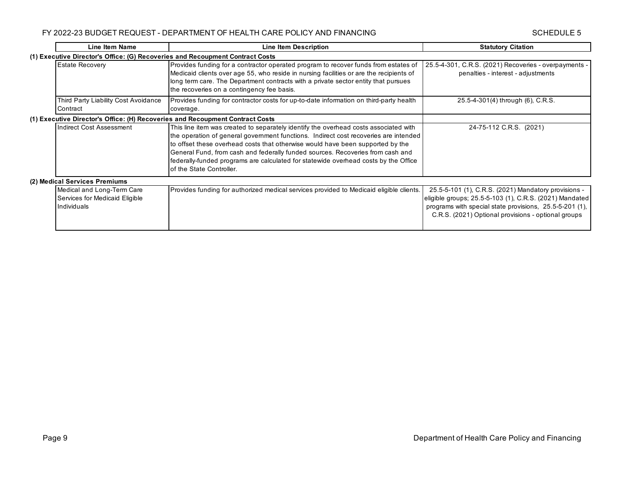| Line Item Name                                                                | <b>Line Item Description</b>                                                                                                                                                                                                                                                                                                                                                                                                                                        | <b>Statutory Citation</b>                                                                                                                                                                                                         |  |  |
|-------------------------------------------------------------------------------|---------------------------------------------------------------------------------------------------------------------------------------------------------------------------------------------------------------------------------------------------------------------------------------------------------------------------------------------------------------------------------------------------------------------------------------------------------------------|-----------------------------------------------------------------------------------------------------------------------------------------------------------------------------------------------------------------------------------|--|--|
| (1) Executive Director's Office: (G) Recoveries and Recoupment Contract Costs |                                                                                                                                                                                                                                                                                                                                                                                                                                                                     |                                                                                                                                                                                                                                   |  |  |
| <b>Estate Recovery</b>                                                        | Provides funding for a contractor operated program to recover funds from estates of<br>Medicaid clients over age 55, who reside in nursing facilities or are the recipients of<br>long term care. The Department contracts with a private sector entity that pursues<br>the recoveries on a contingency fee basis.                                                                                                                                                  | 25.5-4-301, C.R.S. (2021) Recoveries - overpayments -<br>penalties - interest - adjustments                                                                                                                                       |  |  |
| Third Party Liability Cost Avoidance                                          | Provides funding for contractor costs for up-to-date information on third-party health                                                                                                                                                                                                                                                                                                                                                                              | 25.5-4-301(4) through (6), C.R.S.                                                                                                                                                                                                 |  |  |
| Contract                                                                      | coverage.                                                                                                                                                                                                                                                                                                                                                                                                                                                           |                                                                                                                                                                                                                                   |  |  |
| (1) Executive Director's Office: (H) Recoveries and Recoupment Contract Costs |                                                                                                                                                                                                                                                                                                                                                                                                                                                                     |                                                                                                                                                                                                                                   |  |  |
| Indirect Cost Assessment                                                      | This line item was created to separately identify the overhead costs associated with<br>the operation of general government functions. Indirect cost recoveries are intended<br>to offset these overhead costs that otherwise would have been supported by the<br>General Fund, from cash and federally funded sources. Recoveries from cash and<br>federally-funded programs are calculated for statewide overhead costs by the Office<br>of the State Controller. | 24-75-112 C.R.S. (2021)                                                                                                                                                                                                           |  |  |
| (2) Medical Services Premiums                                                 |                                                                                                                                                                                                                                                                                                                                                                                                                                                                     |                                                                                                                                                                                                                                   |  |  |
| Medical and Long-Term Care<br>Services for Medicaid Eligible<br>Individuals   | Provides funding for authorized medical services provided to Medicaid eligible clients.                                                                                                                                                                                                                                                                                                                                                                             | 25.5-5-101 (1), C.R.S. (2021) Mandatory provisions -<br>eligible groups; 25.5-5-103 (1), C.R.S. (2021) Mandated<br>programs with special state provisions, 25.5-5-201 (1),<br>C.R.S. (2021) Optional provisions - optional groups |  |  |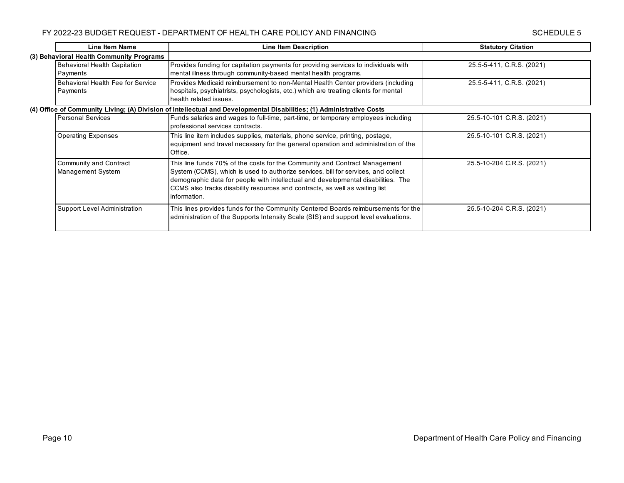| <b>Line Item Name</b>                    | <b>Line Item Description</b>                                                                                          | <b>Statutory Citation</b> |
|------------------------------------------|-----------------------------------------------------------------------------------------------------------------------|---------------------------|
| (3) Behavioral Health Community Programs |                                                                                                                       |                           |
| Behavioral Health Capitation             | Provides funding for capitation payments for providing services to individuals with                                   | 25.5-5-411, C.R.S. (2021) |
| Payments                                 | mental illness through community-based mental health programs.                                                        |                           |
| Behavioral Health Fee for Service        | Provides Medicaid reimbursement to non-Mental Health Center providers (including                                      | 25.5-5-411, C.R.S. (2021) |
| Payments                                 | hospitals, psychiatrists, psychologists, etc.) which are treating clients for mental                                  |                           |
|                                          | health related issues.                                                                                                |                           |
|                                          | (4) Office of Community Living; (A) Division of Intellectual and Developmental Disabilities; (1) Administrative Costs |                           |
| <b>Personal Services</b>                 | Funds salaries and wages to full-time, part-time, or temporary employees including                                    | 25.5-10-101 C.R.S. (2021) |
|                                          | professional services contracts.                                                                                      |                           |
| <b>Operating Expenses</b>                | This line item includes supplies, materials, phone service, printing, postage,                                        | 25.5-10-101 C.R.S. (2021) |
|                                          | equipment and travel necessary for the general operation and administration of the                                    |                           |
|                                          | Office.                                                                                                               |                           |
| Community and Contract                   | This line funds 70% of the costs for the Community and Contract Management                                            | 25.5-10-204 C.R.S. (2021) |
| Management System                        | System (CCMS), which is used to authorize services, bill for services, and collect                                    |                           |
|                                          | demographic data for people with intellectual and developmental disabilities. The                                     |                           |
|                                          | CCMS also tracks disability resources and contracts, as well as waiting list                                          |                           |
|                                          | information.                                                                                                          |                           |
| Support Level Administration             | This lines provides funds for the Community Centered Boards reimbursements for the                                    | 25.5-10-204 C.R.S. (2021) |
|                                          | administration of the Supports Intensity Scale (SIS) and support level evaluations.                                   |                           |
|                                          |                                                                                                                       |                           |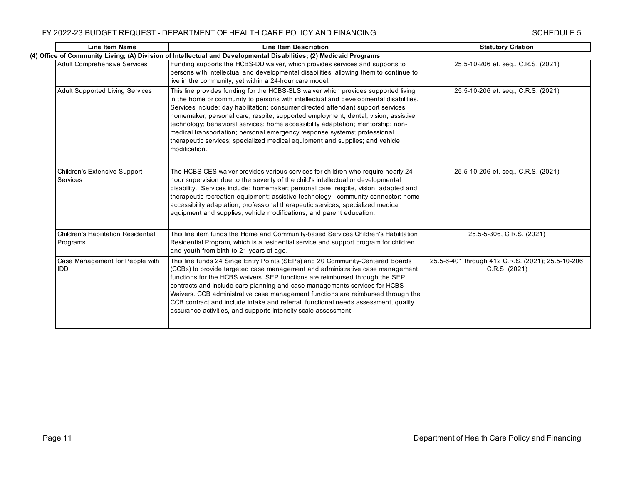| <b>Line Item Name</b>                                  | <b>Line Item Description</b>                                                                                                                                                                                                                                                                                                                                                                                                                                                                                                                                                                                              | <b>Statutory Citation</b>                                          |
|--------------------------------------------------------|---------------------------------------------------------------------------------------------------------------------------------------------------------------------------------------------------------------------------------------------------------------------------------------------------------------------------------------------------------------------------------------------------------------------------------------------------------------------------------------------------------------------------------------------------------------------------------------------------------------------------|--------------------------------------------------------------------|
|                                                        | (4) Office of Community Living; (A) Division of Intellectual and Developmental Disabilities; (2) Medicaid Programs                                                                                                                                                                                                                                                                                                                                                                                                                                                                                                        |                                                                    |
| <b>Adult Comprehensive Services</b>                    | Funding supports the HCBS-DD waiver, which provides services and supports to<br>persons with intellectual and developmental disabilities, allowing them to continue to<br>live in the community, yet within a 24-hour care model.                                                                                                                                                                                                                                                                                                                                                                                         | 25.5-10-206 et. seq., C.R.S. (2021)                                |
| <b>Adult Supported Living Services</b>                 | This line provides funding for the HCBS-SLS waiver which provides supported living<br>in the home or community to persons with intellectual and developmental disabilities.<br>Services include: day habilitation; consumer directed attendant support services;<br>homemaker; personal care; respite; supported employment; dental; vision; assistive<br>technology; behavioral services; home accessibility adaptation; mentorship; non-<br>medical transportation; personal emergency response systems; professional<br>therapeutic services; specialized medical equipment and supplies; and vehicle<br>modification. | 25.5-10-206 et. seq., C.R.S. (2021)                                |
| Children's Extensive Support<br>Services               | The HCBS-CES waiver provides various services for children who require nearly 24-<br>hour supervision due to the severity of the child's intellectual or developmental<br>disability. Services include: homemaker; personal care, respite, vision, adapted and<br>therapeutic recreation equipment; assistive technology; community connector; home<br>accessibility adaptation; professional therapeutic services; specialized medical<br>equipment and supplies; vehicle modifications; and parent education.                                                                                                           | 25.5-10-206 et. seg., C.R.S. (2021)                                |
| <b>Children's Habilitation Residential</b><br>Programs | This line item funds the Home and Community-based Services Children's Habilitation<br>Residential Program, which is a residential service and support program for children<br>and youth from birth to 21 years of age.                                                                                                                                                                                                                                                                                                                                                                                                    | 25.5-5-306, C.R.S. (2021)                                          |
| Case Management for People with<br><b>IDD</b>          | This line funds 24 Singe Entry Points (SEPs) and 20 Community-Centered Boards<br>(CCBs) to provide targeted case management and administrative case management<br>functions for the HCBS waivers. SEP functions are reimbursed through the SEP<br>contracts and include care planning and case managements services for HCBS<br>Waivers. CCB administrative case management functions are reimbursed through the<br>CCB contract and include intake and referral, functional needs assessment, quality<br>assurance activities, and supports intensity scale assessment.                                                  | 25.5-6-401 through 412 C.R.S. (2021); 25.5-10-206<br>C.R.S. (2021) |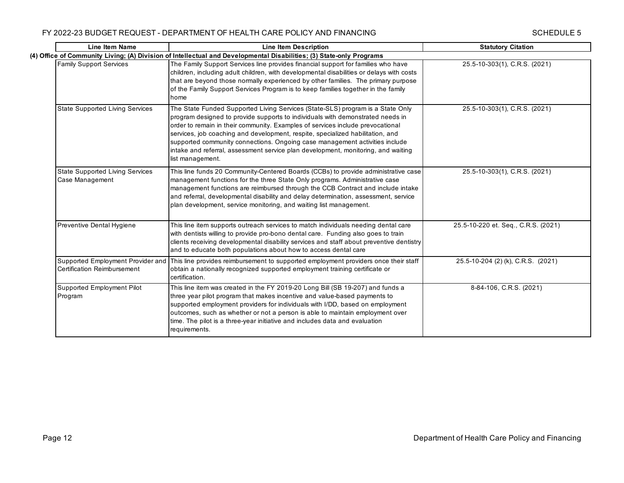| <b>Line Item Name</b>                                            | <b>Line Item Description</b>                                                                                                                                                                                                                                                                                                                                                                                                                                                                                                 | <b>Statutory Citation</b>           |
|------------------------------------------------------------------|------------------------------------------------------------------------------------------------------------------------------------------------------------------------------------------------------------------------------------------------------------------------------------------------------------------------------------------------------------------------------------------------------------------------------------------------------------------------------------------------------------------------------|-------------------------------------|
|                                                                  | (4) Office of Community Living; (A) Division of Intellectual and Developmental Disabilities; (3) State-only Programs                                                                                                                                                                                                                                                                                                                                                                                                         |                                     |
| <b>Family Support Services</b>                                   | The Family Support Services line provides financial support for families who have<br>children, including adult children, with developmental disabilities or delays with costs<br>that are beyond those normally experienced by other families. The primary purpose<br>of the Family Support Services Program is to keep families together in the family<br>home                                                                                                                                                              | 25.5-10-303(1), C.R.S. (2021)       |
| <b>State Supported Living Services</b>                           | The State Funded Supported Living Services (State-SLS) program is a State Only<br>program designed to provide supports to individuals with demonstrated needs in<br>order to remain in their community. Examples of services include prevocational<br>services, job coaching and development, respite, specialized habilitation, and<br>supported community connections. Ongoing case management activities include<br>intake and referral, assessment service plan development, monitoring, and waiting<br>list management. | 25.5-10-303(1), C.R.S. (2021)       |
| <b>State Supported Living Services</b><br>Case Management        | This line funds 20 Community-Centered Boards (CCBs) to provide administrative case<br>management functions for the three State Only programs. Administrative case<br>management functions are reimbursed through the CCB Contract and include intake<br>and referral, developmental disability and delay determination, assessment, service<br>plan development, service monitoring, and waiting list management.                                                                                                            | 25.5-10-303(1), C.R.S. (2021)       |
| Preventive Dental Hygiene                                        | This line item supports outreach services to match individuals needing dental care<br>with dentists willing to provide pro-bono dental care. Funding also goes to train<br>clients receiving developmental disability services and staff about preventive dentistry<br>and to educate both populations about how to access dental care                                                                                                                                                                                       | 25.5-10-220 et. Seq., C.R.S. (2021) |
| Supported Employment Provider and<br>Certification Reimbursement | This line provides reimbursement to supported employment providers once their staff<br>obtain a nationally recognized supported employment training certificate or<br>certification.                                                                                                                                                                                                                                                                                                                                         | 25.5-10-204 (2) (k), C.R.S. (2021)  |
| Supported Employment Pilot<br>Program                            | This line item was created in the FY 2019-20 Long Bill (SB 19-207) and funds a<br>three year pilot program that makes incentive and value-based payments to<br>supported employment providers for individuals with I/DD, based on employment<br>outcomes, such as whether or not a person is able to maintain employment over<br>time. The pilot is a three-year initiative and includes data and evaluation<br>requirements.                                                                                                | 8-84-106, C.R.S. (2021)             |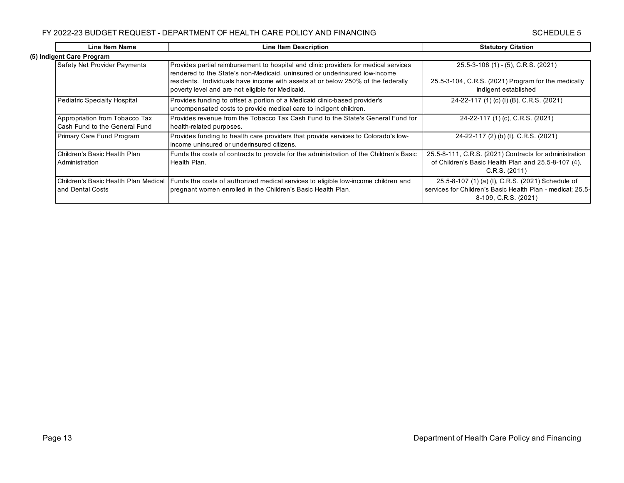| Line Item Name                                                  | Line Item Description                                                                                                                                                                                                                                                                                      | <b>Statutory Citation</b>                                                                                                               |  |
|-----------------------------------------------------------------|------------------------------------------------------------------------------------------------------------------------------------------------------------------------------------------------------------------------------------------------------------------------------------------------------------|-----------------------------------------------------------------------------------------------------------------------------------------|--|
| (5) Indigent Care Program                                       |                                                                                                                                                                                                                                                                                                            |                                                                                                                                         |  |
| <b>Safety Net Provider Payments</b>                             | Provides partial reimbursement to hospital and clinic providers for medical services<br>rendered to the State's non-Medicaid, uninsured or underinsured low-income<br>residents. Individuals have income with assets at or below 250% of the federally<br>poverty level and are not eligible for Medicaid. | 25.5-3-108 (1) - (5), C.R.S. (2021)<br>25.5-3-104, C.R.S. (2021) Program for the medically<br>indigent established                      |  |
| <b>Pediatric Specialty Hospital</b>                             | Provides funding to offset a portion of a Medicaid clinic-based provider's<br>uncompensated costs to provide medical care to indigent children.                                                                                                                                                            | 24-22-117 (1) (c) (l) (B), C.R.S. (2021)                                                                                                |  |
| Appropriation from Tobacco Tax<br>Cash Fund to the General Fund | Provides revenue from the Tobacco Tax Cash Fund to the State's General Fund for<br>health-related purposes.                                                                                                                                                                                                | 24-22-117 (1) (c), C.R.S. (2021)                                                                                                        |  |
| Primary Care Fund Program                                       | Provides funding to health care providers that provide services to Colorado's low-<br>income uninsured or underinsured citizens.                                                                                                                                                                           | 24-22-117 (2) (b) (l), C.R.S. (2021)                                                                                                    |  |
| Children's Basic Health Plan<br>Administration                  | Funds the costs of contracts to provide for the administration of the Children's Basic<br>Health Plan.                                                                                                                                                                                                     | 25.5-8-111, C.R.S. (2021) Contracts for administration<br>of Children's Basic Health Plan and 25.5-8-107 (4),<br>C.R.S. (2011)          |  |
| Children's Basic Health Plan Medical<br>and Dental Costs        | Funds the costs of authorized medical services to eligible low-income children and<br>pregnant women enrolled in the Children's Basic Health Plan.                                                                                                                                                         | 25.5-8-107 (1) (a) (I), C.R.S. (2021) Schedule of<br>services for Children's Basic Health Plan - medical; 25.5-<br>8-109, C.R.S. (2021) |  |